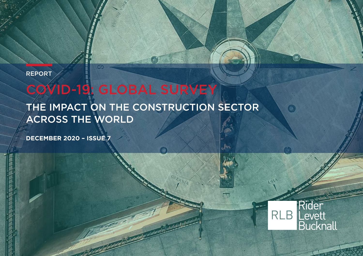REPORT

# COVID-19: GLOBAL SURVEY

THE IMPACT ON THE CONSTRUCTION SECTOR ACROSS THE WORLD

**DECEMBER 2020 – ISSUE 7**



O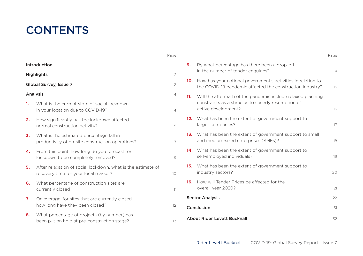### **CONTENTS**

|                        |                                                                                                      | Page            |    |                                                                                                                               | Page |
|------------------------|------------------------------------------------------------------------------------------------------|-----------------|----|-------------------------------------------------------------------------------------------------------------------------------|------|
| Introduction           |                                                                                                      | $\mathbf{1}$    | 9. | By what percentage has there been a drop-off<br>in the number of tender enquiries?                                            |      |
| <b>Highlights</b>      |                                                                                                      | $\mathfrak{D}$  |    |                                                                                                                               | 14   |
| Global Survey, Issue 7 |                                                                                                      | 3               |    | 10. How has your national government's activities in relation to<br>the COVID-19 pandemic affected the construction industry? | 15   |
| Analysis               |                                                                                                      | 4               |    | 11. Will the aftermath of the pandemic include relaxed planning                                                               |      |
| 1.                     | What is the current state of social lockdown<br>in your location due to COVID-19?                    | $\overline{4}$  |    | constraints as a stimulus to speedy resumption of<br>active development?                                                      | 16   |
| 2.                     | How significantly has the lockdown affected<br>normal construction activity?                         | 5               |    | 12. What has been the extent of government support to<br>larger companies?                                                    | 17   |
| 3.                     | What is the estimated percentage fall in<br>productivity of on-site construction operations?         | $\overline{7}$  |    | 13. What has been the extent of government support to small<br>and medium-sized enterprises (SMEs)?                           | 18   |
| 4.                     | From this point, how long do you forecast for<br>lockdown to be completely removed?                  | 9               |    | 14. What has been the extent of government support to<br>self-employed individuals?                                           | 19   |
| 5.                     | After relaxation of social lockdown, what is the estimate of<br>recovery time for your local market? | 10 <sup>1</sup> |    | 15. What has been the extent of government support to<br>industry sectors?                                                    | 20   |
| 6.                     | What percentage of construction sites are<br>currently closed?                                       | 11              |    | <b>16.</b> How will Tender Prices be affected for the<br>overall year 2020?                                                   | 21   |
| 7.                     | On average, for sites that are currently closed,<br>how long have they been closed?                  |                 |    | <b>Sector Analysis</b>                                                                                                        |      |
|                        |                                                                                                      | 12              |    | Conclusion                                                                                                                    | 31   |
| 8.                     | What percentage of projects (by number) has<br>been put on hold at pre-construction stage?           | 13              |    | About Rider Levett Bucknall                                                                                                   | 32   |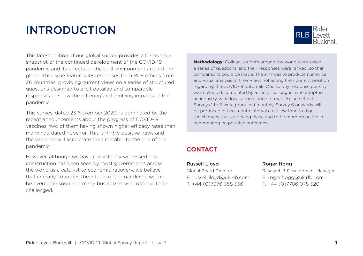### INTRODUCTION



This latest edition of our global survey provides a bi-monthly snapshot of the continued development of the COVID-19 pandemic and its effects on the built environment around the globe. This issue features 48 responses from RLB offices from 26 countries, providing current views on a series of structured questions designed to elicit detailed and comparable responses to show the differing and evolving impacts of the pandemic.

This survey, dated 23 November 2020, is dominated by the recent announcements about the progress of COVID-19 vaccines, two of them having shown higher efficacy rates than many had dared hope for. This is highly positive news and the vaccines will accelerate the timetable to the end of the pandemic.

However, although we have consistently witnessed that construction has been seen by most governments across the world as a catalyst to economic recovery, we believe that in many countries the effects of the pandemic will not be overcome soon and many businesses will continue to be challenged.

**Methodology:** Colleagues from around the world were asked a series of questions, and their responses were ranked, so that comparisons could be made. The aim was to produce numerical and visual analysis of their views, reflecting their current position regarding the COVID-19 outbreak. One survey response per city was collected, completed by a senior colleague, who adopted an industry-wide local appreciation of marketplace effects. Surveys 1 to 5 were produced monthly. Survey 6 onwards will be produced in two-month intervals to allow time to digest the changes that are taking place and to be more proactive in commenting on possible outcomes.

#### **CONTACT**

#### Russell Lloyd Roger Hogg

E. russell.lloyd@uk.rlb.com E. roger.hogg@uk.rlb.com T. +44 (0)7976 358 556 T. +44 (0)7786 078 520

Global Board Director Research & Development Manager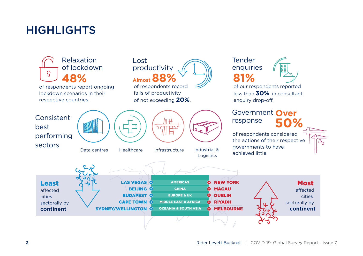### HIGHLIGHTS

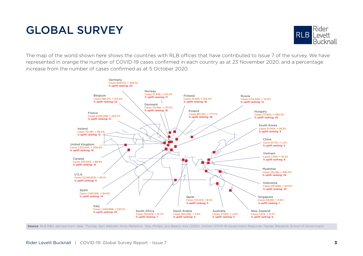### GLOBAL SURVEY



The map of the world shown here shows the countries with RLB offices that have contributed to Issue 7 of the survey. We have represented in orange the number of COVID-19 cases confirmed in each country as at 23 November 2020, and a percentage increase from the number of cases confirmed as at 5 October 2020.



Source: RLB R&D, derived from: Hale, Thomas, Sam Webster, Anna Petherick, Toby Phillips, and Beatriz Kira (2020). Oxford COVID-19 Government Response Tracker, Blavatnik School of Government.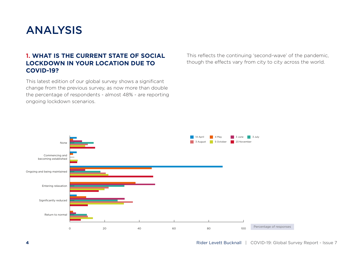### ANALYSIS

#### **1. WHAT IS THE CURRENT STATE OF SOCIAL LOCKDOWN IN YOUR LOCATION DUE TO COVID-19?**

This latest edition of our global survey shows a significant change from the previous survey, as now more than double the percentage of respondents - almost 48% - are reporting ongoing lockdown scenarios.

This reflects the continuing 'second-wave' of the pandemic, though the effects vary from city to city across the world.

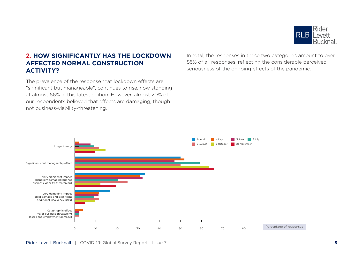

#### **2. HOW SIGNIFICANTLY HAS THE LOCKDOWN AFFECTED NORMAL CONSTRUCTION ACTIVITY?**

The prevalence of the response that lockdown effects are "significant but manageable", continues to rise, now standing at almost 66% in this latest edition. However, almost 20% of our respondents believed that effects are damaging, though not business-viability-threatening.

In total, the responses in these two categories amount to over 85% of all responses, reflecting the considerable perceived seriousness of the ongoing effects of the pandemic.

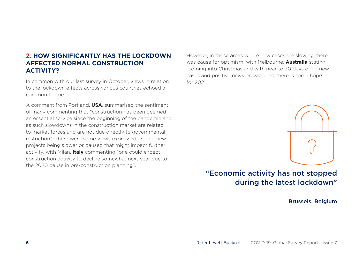#### **2. HOW SIGNIFICANTLY HAS THE LOCKDOWN AFFECTED NORMAL CONSTRUCTION ACTIVITY?**

In common with our last survey in October, views in relation to the lockdown effects across various countries echoed a common theme.

A comment from Portland, **USA**, summarised the sentiment of many commenting that "construction has been deemed an essential service since the beginning of the pandemic and as such slowdowns in the construction market are related to market forces and are not due directly to governmental restriction". There were some views expressed around new projects being slower or paused that might impact further activity, with Milan, **Italy** commenting "one could expect construction activity to decline somewhat next year due to the 2020 pause in pre-construction planning".

However, in those areas where new cases are slowing there was cause for optimism, with Melbourne, **Australia** stating "coming into Christmas and with near to 30 days of no new cases and positive news on vaccines, there is some hope for 2021."



### "Economic activity has not stopped during the latest lockdown"

Brussels, Belgium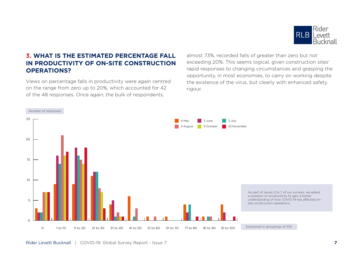

#### **3. WHAT IS THE ESTIMATED PERCENTAGE FALL IN PRODUCTIVITY OF ON-SITE CONSTRUCTION OPERATIONS?**

Views on percentage falls in productivity were again centred on the range from zero up to 20%, which accounted for 42 of the 48 responses. Once again, the bulk of respondents,

almost 73%, recorded falls of greater than zero but not exceeding 20%. This seems logical, given construction sites' rapid responses to changing circumstances and grasping the opportunity, in most economies, to carry on working despite the existence of the virus, but clearly with enhanced safety rigour.

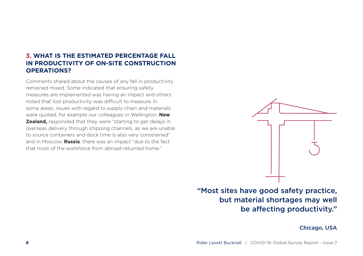#### **3. WHAT IS THE ESTIMATED PERCENTAGE FALL IN PRODUCTIVITY OF ON-SITE CONSTRUCTION OPERATIONS?**

Comments shared about the causes of any fall in productivity remained mixed. Some indicated that ensuring safety measures are implemented was having an impact and others noted that lost productivity was difficult to measure. In some areas, issues with regard to supply chain and materials were quoted, for example our colleagues in Wellington, **New Zealand,** responded that they were "starting to get delays in overseas delivery through shipping channels, as we are unable to source containers and dock time is also very constrained" and in Moscow, **Russia**, there was an impact "due to the fact that most of the workforce from abroad returned home."



"Most sites have good safety practice, but material shortages may well be affecting productivity."

Chicago, USA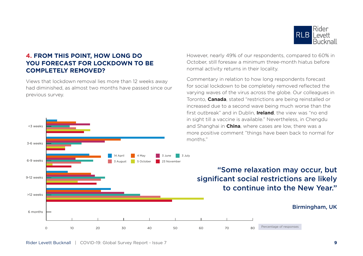

#### **4. FROM THIS POINT, HOW LONG DO YOU FORECAST FOR LOCKDOWN TO BE COMPLETELY REMOVED?**

Views that lockdown removal lies more than 12 weeks away had diminished, as almost two months have passed since our previous survey.



October, still foresaw a minimum three-month hiatus before normal activity returns in their locality. Commentary in relation to how long respondents forecast

for social lockdown to be completely removed reflected the varying waves of the virus across the globe. Our colleagues in Toronto, **Canada**, stated "restrictions are being reinstalled or increased due to a second wave being much worse than the first outbreak" and in Dublin, **Ireland**, the view was "no end in sight till a vaccine is available." Nevertheless, in Chengdu and Shanghai in **China**, where cases are low, there was a more positive comment "things have been back to normal for

However, nearly 49% of our respondents, compared to 60% in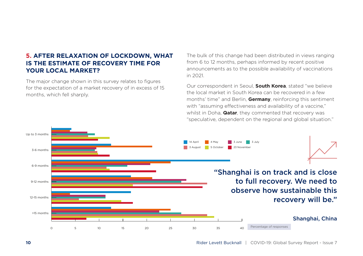#### **5. AFTER RELAXATION OF LOCKDOWN, WHAT IS THE ESTIMATE OF RECOVERY TIME FOR YOUR LOCAL MARKET?**

The major change shown in this survey relates to figures for the expectation of a market recovery of in excess of 15 months, which fell sharply.

The bulk of this change had been distributed in views ranging from 6 to 12 months, perhaps informed by recent positive announcements as to the possible availability of vaccinations in 2021.

Our correspondent in Seoul, **South Korea**, stated "we believe the local market in South Korea can be recovered in a few months' time" and Berlin, **Germany**, reinforcing this sentiment with "assuming effectiveness and availability of a vaccine," whilst in Doha, **Qatar**, they commented that recovery was "speculative, dependent on the regional and global situation."

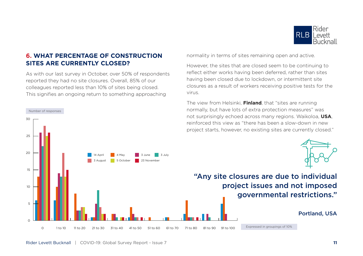

#### **6. WHAT PERCENTAGE OF CONSTRUCTION SITES ARE CURRENTLY CLOSED?**

As with our last survey in October, over 50% of respondents reported they had no site closures. Overall, 85% of our colleagues reported less than 10% of sites being closed. This signifies an ongoing return to something approaching

30

Number of responses

normality in terms of sites remaining open and active.

However, the sites that are closed seem to be continuing to reflect either works having been deferred, rather than sites having been closed due to lockdown, or intermittent site closures as a result of workers receiving positive tests for the virus.

The view from Helsinki, **Finland**, that "sites are running normally, but have lots of extra protection measures" was not surprisingly echoed across many regions. Waikoloa, **USA**, reinforced this view as "there has been a slow-down in new

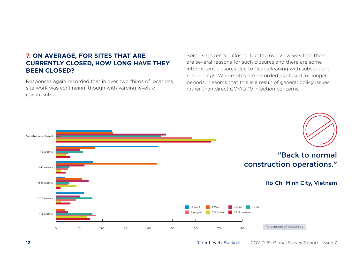#### **7. ON AVERAGE, FOR SITES THAT ARE CURRENTLY CLOSED, HOW LONG HAVE THEY BEEN CLOSED?**

Responses again recorded that in over two thirds of locations, site work was continuing, though with varying levels of constraints.

Some sites remain closed, but the overview was that there are several reasons for such closures and there are some intermittent closures due to deep cleaning with subsequent re-openings. Where sites are recorded as closed for longer periods, it seems that this is a result of general policy issues rather than direct COVID-19 infection concerns.

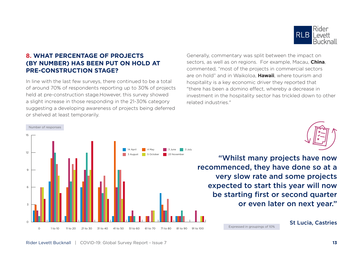

#### **8. WHAT PERCENTAGE OF PROJECTS (BY NUMBER) HAS BEEN PUT ON HOLD AT PRE-CONSTRUCTION STAGE?**

In line with the last few surveys, there continued to be a total of around 70% of respondents reporting up to 30% of projects held at pre-construction stage.However, this survey showed a slight increase in those responding in the 21-30% category suggesting a developing awareness of projects being deferred or shelved at least temporarily.



Generally, commentary was split between the impact on sectors, as well as on regions. For example, Macau, **China**, commented, "most of the projects in commercial sectors are on hold" and in Waikoloa, **Hawaii**, where tourism and hospitality is a key economic driver they reported that "there has been a domino effect, whereby a decrease in investment in the hospitality sector has trickled down to other related industries."



"Whilst many projects have now recommenced, they have done so at a very slow rate and some projects expected to start this year will now be starting first or second quarter or even later on next year."

Expressed in groupings of 10%

St Lucia, Castries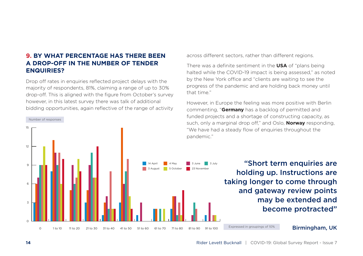#### **9. BY WHAT PERCENTAGE HAS THERE BEEN A DROP-OFF IN THE NUMBER OF TENDER ENQUIRIES?**

Drop off rates in enquiries reflected project delays with the majority of respondents, 81%, claiming a range of up to 30% drop-off. This is aligned with the figure from October's survey however, in this latest survey there was talk of additional bidding opportunities, again reflective of the range of activity

across different sectors, rather than different regions.

There was a definite sentiment in the **USA** of "plans being halted while the COVID-19 impact is being assessed," as noted by the New York office and "clients are waiting to see the progress of the pandemic and are holding back money until that time."

However, in Europe the feeling was more positive with Berlin commenting, "**Germany** has a backlog of permitted and funded projects and a shortage of constructing capacity, as such, only a marginal drop off," and Oslo, **Norway** responding, "We have had a steady flow of enquiries throughout the pandemic."

> "Short term enquiries are holding up. Instructions are taking longer to come through and gateway review points may be extended and become protracted"

Expressed in groupings of 10%

Birmingham, UK

15

Number of responses

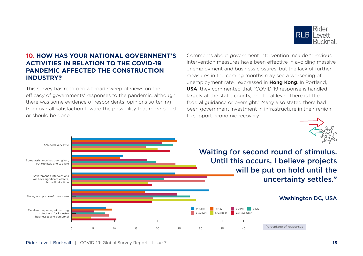

#### **10. HOW HAS YOUR NATIONAL GOVERNMENT'S ACTIVITIES IN RELATION TO THE COVID-19 PANDEMIC AFFECTED THE CONSTRUCTION INDUSTRY?**

This survey has recorded a broad sweep of views on the efficacy of governments' responses to the pandemic, although there was some evidence of respondents' opinions softening from overall satisfaction toward the possibility that more could or should be done.

Comments about government intervention include "previous intervention measures have been effective in avoiding massive unemployment and business closures, but the lack of further measures in the coming months may see a worsening of unemployment rate," expressed in **Hong Kong**. In Portland, **USA**, they commented that "COVID-19 response is handled largely at the state, county, and local level. There is little federal guidance or oversight." Many also stated there had been government investment in infrastructure in their region to support economic recovery.



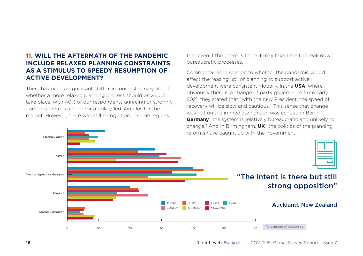#### **11. WILL THE AFTERMATH OF THE PANDEMIC INCLUDE RELAXED PLANNING CONSTRAINTS AS A STIMULUS TO SPEEDY RESUMPTION OF ACTIVE DEVELOPMENT?**

There has been a significant shift from our last survey about whether a more relaxed planning process should or would take place, with 40% of our respondents agreeing or strongly agreeing there is a need for a policy-led stimulus for the market. However, there was still recognition in some regions

that even if the intent is there it may take time to break down bureaucratic processes.

Commentaries in relation to whether the pandemic would affect the "easing up" of planning to support active development were consistent globally. In the **USA**, where obviously there is a change of party governance from early 2021, they stated that "with the new President, the speed of recovery will be slow and cautious." This sense that change was not on the immediate horizon was echoed in Berlin, **Germany** "the system is relatively bureaucratic and unlikely to change." And in Birmingham, **UK** "the politics of the planning reforms have caught up with the government."

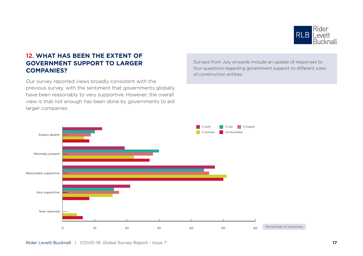

#### **12. WHAT HAS BEEN THE EXTENT OF GOVERNMENT SUPPORT TO LARGER COMPANIES?**

Our survey reported views broadly consistent with the previous survey, with the sentiment that governments globally have been reasonably to very supportive. However, the overall view is that not enough has been done by governments to aid larger companies.

3 August 5 October 23 November 3 June 3 July Now removed Very supportive Reasonably supportive Minimally present Always absent 0 10 20 30 40 50 60 Percentage of responses

Surveys from July onwards include an update of responses to four questions regarding government support to different sizes of construction entities.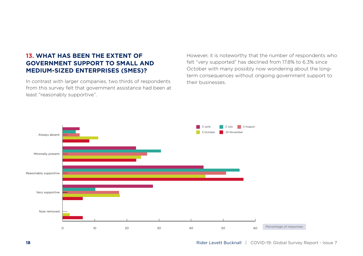#### **13. WHAT HAS BEEN THE EXTENT OF GOVERNMENT SUPPORT TO SMALL AND MEDIUM-SIZED ENTERPRISES (SMES)?**

In contrast with larger companies, two thirds of respondents from this survey felt that government assistance had been at least "reasonably supportive".

However, it is noteworthy that the number of respondents who felt "very supported" has declined from 17.8% to 6.3% since October with many possibly now wondering about the longterm consequences without ongoing government support to their businesses.

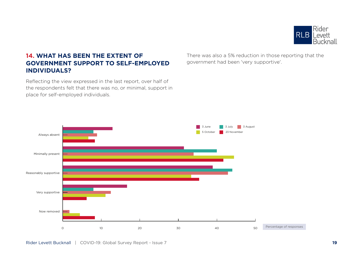

#### **14. WHAT HAS BEEN THE EXTENT OF GOVERNMENT SUPPORT TO SELF-EMPLOYED INDIVIDUALS?**

Reflecting the view expressed in the last report, over half of the respondents felt that there was no, or minimal, support in place for self-employed individuals.

There was also a 5% reduction in those reporting that the government had been 'very supportive'.

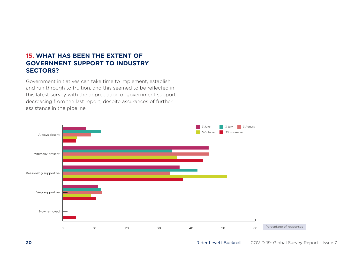#### **15. WHAT HAS BEEN THE EXTENT OF GOVERNMENT SUPPORT TO INDUSTRY SECTORS?**

Government initiatives can take time to implement, establish and run through to fruition, and this seemed to be reflected in this latest survey with the appreciation of government support decreasing from the last report, despite assurances of further assistance in the pipeline.

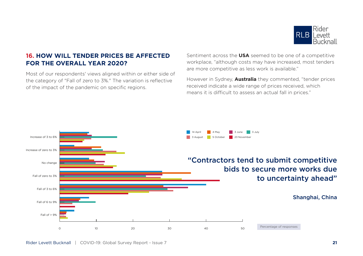

#### **16. HOW WILL TENDER PRICES BE AFFECTED FOR THE OVERALL YEAR 2020?**

Most of our respondents' views aligned within or either side of the category of "Fall of zero to 3%." The variation is reflective of the impact of the pandemic on specific regions.

Sentiment across the **USA** seemed to be one of a competitive workplace, "although costs may have increased, most tenders are more competitive as less work is available."

However in Sydney, **Australia** they commented, "tender prices received indicate a wide range of prices received, which means it is difficult to assess an actual fall in prices."

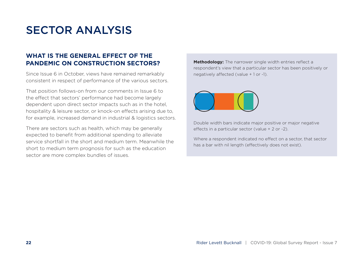### SECTOR ANALYSIS

#### **WHAT IS THE GENERAL EFFECT OF THE PANDEMIC ON CONSTRUCTION SECTORS?**

Since Issue 6 in October, views have remained remarkably consistent in respect of performance of the various sectors.

That position follows-on from our comments in Issue 6 to the effect that sectors' performance had become largely dependent upon direct sector impacts such as in the hotel, hospitality & leisure sector, or knock-on effects arising due to, for example, increased demand in industrial & logistics sectors.

There are sectors such as health, which may be generally expected to benefit from additional spending to alleviate service shortfall in the short and medium term. Meanwhile the short to medium term prognosis for such as the education sector are more complex bundles of issues.

**Methodology:** The narrower single width entries reflect a respondent's view that a particular sector has been positively or negatively affected (value + 1 or -1).



Double width bars indicate major positive or major negative effects in a particular sector (value + 2 or -2).

Where a respondent indicated no effect on a sector, that sector has a bar with nil length (effectively does not exist).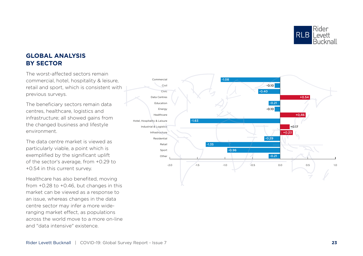

#### **GLOBAL ANALYSIS BY SECTOR**

The worst-affected sectors remain commercial, hotel, hospitality & leisure, retail and sport, which is consistent with previous surveys.

The beneficiary sectors remain data centres, healthcare, logistics and infrastructure; all showed gains from the changed business and lifestyle environment.

The data centre market is viewed as particularly viable, a point which is exemplified by the significant uplift of the sector's average, from +0.29 to +0.54 in this current survey.

Healthcare has also benefited, moving from +0.28 to +0.46, but changes in this market can be viewed as a response to an issue, whereas changes in the data centre sector may infer a more wideranging market effect, as populations across the world move to a more on-line and "data intensive" existence.

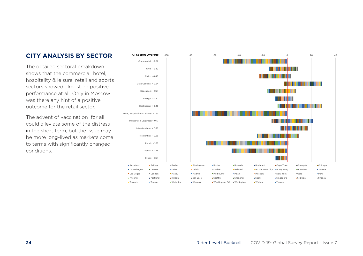#### **CITY ANALYSIS BY SECTOR**

The detailed sectoral breakdown shows that the commercial, hotel hospitality & leisure, retail and sports sectors showed almost no positive performance at all. Only in Moscow was there any hint of a positive outcome for the retail sector.

The advent of vaccination for all could alleviate some of the distress in the short term, but the issue may be more long-lived as markets come to terms with significantly changed conditions.

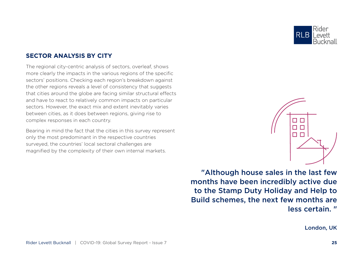

г □ П  $\Gamma$  $\Box$  $\Box$ 

#### **SECTOR ANALYSIS BY CITY**

The regional city-centric analysis of sectors, overleaf, shows more clearly the impacts in the various regions of the specific sectors' positions. Checking each region's breakdown against the other regions reveals a level of consistency that suggests that cities around the globe are facing similar structural effects and have to react to relatively common impacts on particular sectors. However, the exact mix and extent inevitably varies between cities, as it does between regions, giving rise to complex responses in each country.

Bearing in mind the fact that the cities in this survey represent only the most predominant in the respective countries surveyed, the countries' local sectoral challenges are magnified by the complexity of their own internal markets.

> "Although house sales in the last few months have been incredibly active due to the Stamp Duty Holiday and Help to Build schemes, the next few months are less certain. "

> > London, UK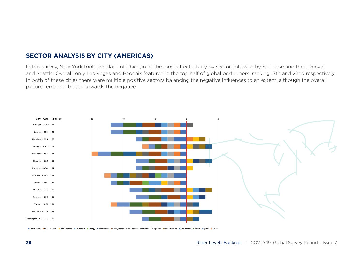

In this survey, New York took the place of Chicago as the most affected city by sector, followed by San Jose and then Denver and Seattle. Overall, only Las Vegas and Phoenix featured in the top half of global performers, ranking 17th and 22nd respectively. In both of these cities there were multiple positive sectors balancing the negative influences to an extent, although the overall picture remained biased towards the negative.



■Commercial ■Civil =Civic ■Data Centres =Education =Energy =Healthcare =Hotel, Hospitality & Leisure =Industrial & Logistics =Infrastructure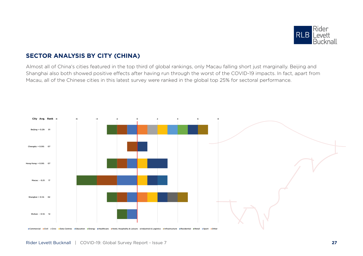

#### **SECTOR ANALYSIS BY CITY (CHINA)**

Almost all of China's cities featured in the top third of global rankings, only Macau falling short just marginally. Beijing and Shanghai also both showed positive effects after having run through the worst of the COVID-19 impacts. In fact, apart from Macau, all of the Chinese cities in this latest survey were ranked in the global top 25% for sectoral performance.

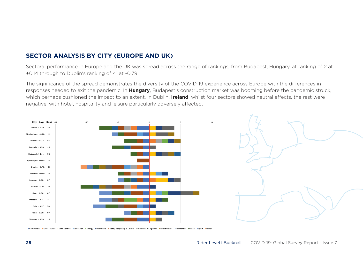#### **SECTOR ANALYSIS BY CITY (EUROPE AND UK)**

Sectoral performance in Europe and the UK was spread across the range of rankings, from Budapest, Hungary, at ranking of 2 at +0.14 through to Dublin's ranking of 41 at -0.79.

The significance of the spread demonstrates the diversity of the COVID-19 experience across Europe with the differences in responses needed to exit the pandemic. In **Hungary**, Budapest's construction market was booming before the pandemic struck, which perhaps cushioned the impact to an extent. In Dublin, **Ireland**, whilst four sectors showed neutral effects, the rest were negative, with hotel, hospitality and leisure particularly adversely affected.





Commercial =Civil =Civic =Data Centres =Education =Energy =Healthcare =Hotel, Hospitality & Leisure =Industrial & Logistics =Infrastructure =Residential =Retail =Sport =Other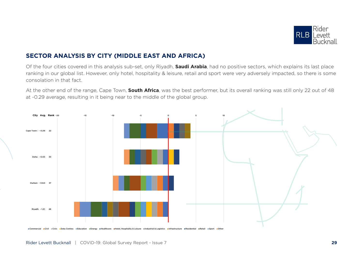

#### **SECTOR ANALYSIS BY CITY (MIDDLE EAST AND AFRICA)**

Of the four cities covered in this analysis sub-set, only Riyadh, **Saudi Arabia**, had no positive sectors, which explains its last place ranking in our global list. However, only hotel, hospitality & leisure, retail and sport were very adversely impacted, so there is some consolation in that fact.

At the other end of the range, Cape Town, **South Africa**, was the best performer, but its overall ranking was still only 22 out of 48 at -0.29 average, resulting in it being near to the middle of the global group.



ercial ECivil ECivic EData Centres EEducation EEnergy EHealthcare EHotel, Hospitality & Leisure EIndustrial & Logistics Einfrastructure EResidential ERetail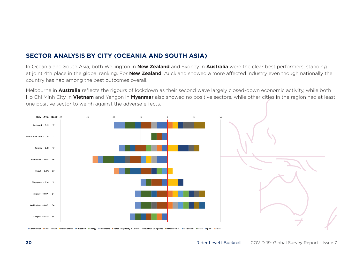#### **SECTOR ANALYSIS BY CITY (OCEANIA AND SOUTH ASIA)**

In Oceania and South Asia, both Wellington in **New Zealand** and Sydney in **Australia** were the clear best performers, standing at joint 4th place in the global ranking. For **New Zealand**, Auckland showed a more affected industry even though nationally the country has had among the best outcomes overall.

Melbourne in **Australia** reflects the rigours of lockdown as their second wave largely closed-down economic activity, while both Ho Chi Minh City in **Vietnam** and Yangon in **Myanmar** also showed no positive sectors, while other cities in the region had at least one positive sector to weigh against the adverse effects.



ECivil ECivic Bata Centres Education Energy EHealthcare EHotel, Hospitality & Leisure Endustrial & Logistics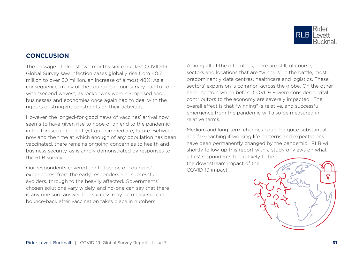

#### **CONCLUSION**

The passage of almost two months since our last COVID-19 Global Survey saw infection cases globally rise from 40.7 million to over 60 million, an increase of almost 48%. As a consequence, many of the countries in our survey had to cope with "second waves", as lockdowns were re-imposed and businesses and economies once again had to deal with the rigours of stringent constraints on their activities.

However, the longed-for good news of vaccines' arrival now seems to have given rise to hope of an end to the pandemic in the foreseeable, if not yet quite immediate, future. Between now and the time at which enough of any population has been vaccinated, there remains ongoing concern as to health and business security, as is amply demonstrated by responses to the RLB survey.

Our respondents covered the full scope of countries' experiences, from the early responders and successful avoiders, through to the heavily affected. Governments' chosen solutions vary widely, and no-one can say that there is any one sure answer, but success may be measurable in bounce-back after vaccination takes place in numbers.

Among all of the difficulties, there are still, of course, sectors and locations that are "winners" in the battle, most predominantly data centres, healthcare and logistics. These sectors' expansion is common across the globe. On the other hand, sectors which before COVID-19 were considered vital contributors to the economy are severely impacted. The overall effect is that "winning" is relative, and successful emergence from the pandemic will also be measured in relative terms.

Medium and long-term changes could be quite substantial and far-reaching if working life patterns and expectations have been permanently changed by the pandemic. RLB will shortly follow-up this report with a study of views on what

cities' respondents feel is likely to be the downstream impact of the COVID-19 impact.

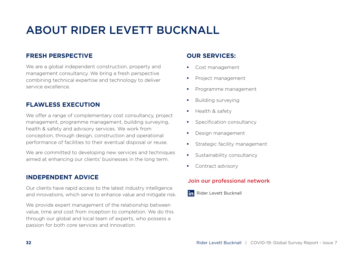## ABOUT RIDER LEVETT BUCKNALL

#### **FRESH PERSPECTIVE**

We are a global independent construction, property and management consultancy. We bring a fresh perspective combining technical expertise and technology to deliver service excellence.

#### **FLAWLESS EXECUTION**

We offer a range of complementary cost consultancy, project management, programme management, building surveying, health & safety and advisory services. We work from conception, through design, construction and operational performance of facilities to their eventual disposal or reuse.

We are committed to developing new services and techniques aimed at enhancing our clients' businesses in the long term.

#### **INDEPENDENT ADVICE**

Our clients have rapid access to the latest industry intelligence and innovations, which serve to enhance value and mitigate risk.

We provide expert management of the relationship between value, time and cost from inception to completion. We do this through our global and local team of experts, who possess a passion for both core services and innovation.

#### **OUR SERVICES:**

- **Cost management**
- **Project management**
- **Programme management**
- **Building surveying**
- $H$  Health & safety
- **Specification consultancy**
- **Design management**
- **Strategic facility management**
- **Sustainability consultancy**
- **Contract advisory**

#### Join our professional network

in Rider Levett Bucknall